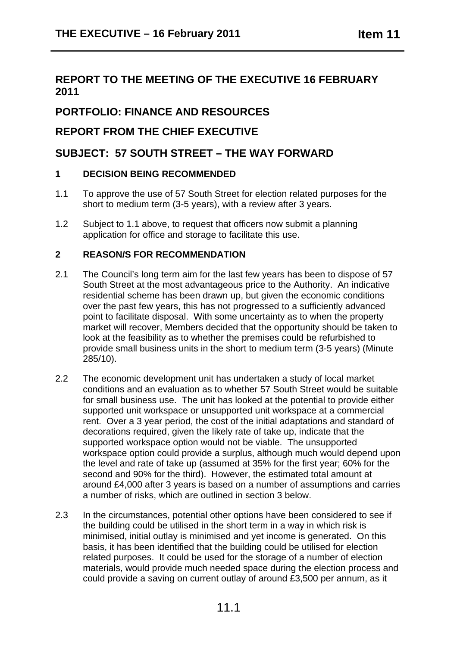## **REPORT TO THE MEETING OF THE EXECUTIVE 16 FEBRUARY 2011**

# **PORTFOLIO: FINANCE AND RESOURCES**

### **REPORT FROM THE CHIEF EXECUTIVE**

## **SUBJECT: 57 SOUTH STREET – THE WAY FORWARD**

### **1 DECISION BEING RECOMMENDED**

- 1.1 To approve the use of 57 South Street for election related purposes for the short to medium term (3-5 years), with a review after 3 years.
- 1.2 Subject to 1.1 above, to request that officers now submit a planning application for office and storage to facilitate this use.

### **2 REASON/S FOR RECOMMENDATION**

- 2.1 The Council's long term aim for the last few years has been to dispose of 57 South Street at the most advantageous price to the Authority. An indicative residential scheme has been drawn up, but given the economic conditions over the past few years, this has not progressed to a sufficiently advanced point to facilitate disposal. With some uncertainty as to when the property market will recover, Members decided that the opportunity should be taken to look at the feasibility as to whether the premises could be refurbished to provide small business units in the short to medium term (3-5 years) (Minute 285/10).
- 2.2 The economic development unit has undertaken a study of local market conditions and an evaluation as to whether 57 South Street would be suitable for small business use. The unit has looked at the potential to provide either supported unit workspace or unsupported unit workspace at a commercial rent. Over a 3 year period, the cost of the initial adaptations and standard of decorations required, given the likely rate of take up, indicate that the supported workspace option would not be viable. The unsupported workspace option could provide a surplus, although much would depend upon the level and rate of take up (assumed at 35% for the first year; 60% for the second and 90% for the third). However, the estimated total amount at around £4,000 after 3 years is based on a number of assumptions and carries a number of risks, which are outlined in section 3 below.
- 2.3 In the circumstances, potential other options have been considered to see if the building could be utilised in the short term in a way in which risk is minimised, initial outlay is minimised and yet income is generated. On this basis, it has been identified that the building could be utilised for election related purposes. It could be used for the storage of a number of election materials, would provide much needed space during the election process and could provide a saving on current outlay of around £3,500 per annum, as it